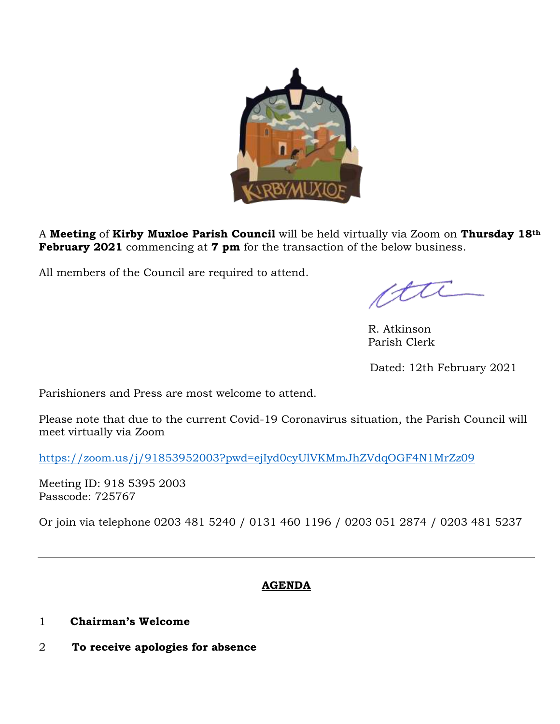

A **Meeting** of **Kirby Muxloe Parish Council** will be held virtually via Zoom on **Thursday 18th February 2021** commencing at **7 pm** for the transaction of the below business.

All members of the Council are required to attend.

etti

 R. Atkinson Parish Clerk

Dated: 12th February 2021

Parishioners and Press are most welcome to attend.

Please note that due to the current Covid-19 Coronavirus situation, the Parish Council will meet virtually via Zoom

<https://zoom.us/j/91853952003?pwd=ejIyd0cyUlVKMmJhZVdqOGF4N1MrZz09>

Meeting ID: 918 5395 2003 Passcode: 725767

Or join via telephone 0203 481 5240 / 0131 460 1196 / 0203 051 2874 / 0203 481 5237

# **AGENDA**

- 1 **Chairman's Welcome**
- 2 **To receive apologies for absence**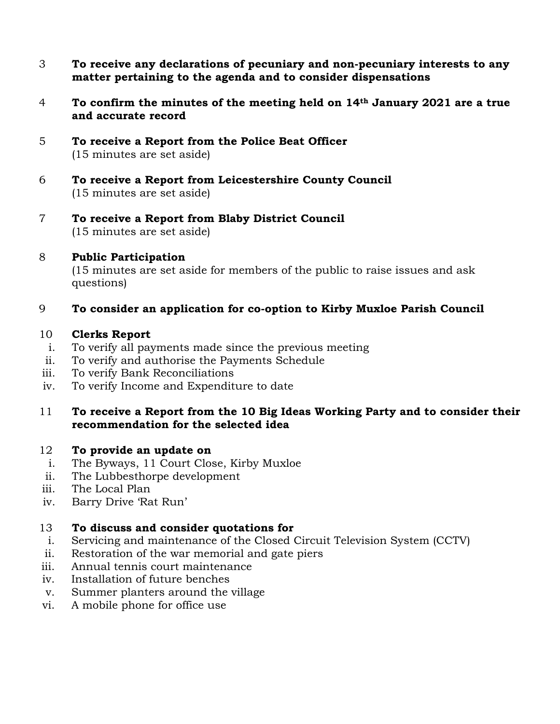- 3 **To receive any declarations of pecuniary and non-pecuniary interests to any matter pertaining to the agenda and to consider dispensations**
- 4 **To confirm the minutes of the meeting held on 14th January 2021 are a true and accurate record**
- 5 **To receive a Report from the Police Beat Officer** (15 minutes are set aside)
- 6 **To receive a Report from Leicestershire County Council** (15 minutes are set aside)
- 7 **To receive a Report from Blaby District Council** (15 minutes are set aside)

# 8 **Public Participation**

(15 minutes are set aside for members of the public to raise issues and ask questions)

# 9 **To consider an application for co-option to Kirby Muxloe Parish Council**

### 10 **Clerks Report**

- i. To verify all payments made since the previous meeting
- ii. To verify and authorise the Payments Schedule
- iii. To verify Bank Reconciliations
- iv. To verify Income and Expenditure to date

### 11 **To receive a Report from the 10 Big Ideas Working Party and to consider their recommendation for the selected idea**

# 12 **To provide an update on**

- i. The Byways, 11 Court Close, Kirby Muxloe
- ii. The Lubbesthorpe development
- iii. The Local Plan
- iv. Barry Drive 'Rat Run'

#### 13 **To discuss and consider quotations for**

- i. Servicing and maintenance of the Closed Circuit Television System (CCTV)
- ii. Restoration of the war memorial and gate piers
- iii. Annual tennis court maintenance
- iv. Installation of future benches
- v. Summer planters around the village
- vi. A mobile phone for office use